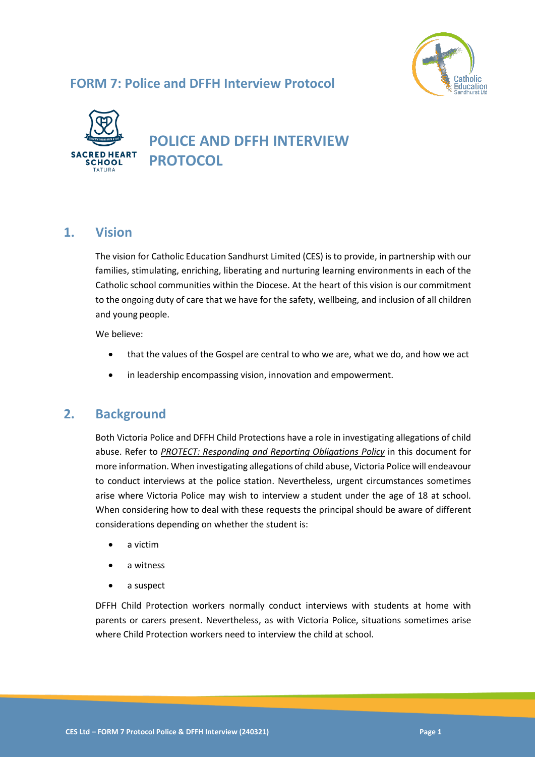### **FORM 7: Police and DFFH Interview Protocol**





# **POLICE AND DFFH INTERVIEW PROTOCOL**

### **1. Vision**

The vision for Catholic Education Sandhurst Limited (CES) is to provide, in partnership with our families, stimulating, enriching, liberating and nurturing learning environments in each of the Catholic school communities within the Diocese. At the heart of this vision is our commitment to the ongoing duty of care that we have for the safety, wellbeing, and inclusion of all children and young people.

We believe:

- that the values of the Gospel are central to who we are, what we do, and how we act
- in leadership encompassing vision, innovation and empowerment.

### **2. Background**

Both Victoria Police and DFFH Child Protections have a role in investigating allegations of child abuse. Refer to *PROTECT: Responding and Reporting Obligations Policy* in this document for more information. When investigating allegations of child abuse, Victoria Police will endeavour to conduct interviews at the police station. Nevertheless, urgent circumstances sometimes arise where Victoria Police may wish to interview a student under the age of 18 at school. When considering how to deal with these requests the principal should be aware of different considerations depending on whether the student is:

- a victim
- a witness
- a suspect

DFFH Child Protection workers normally conduct interviews with students at home with parents or carers present. Nevertheless, as with Victoria Police, situations sometimes arise where Child Protection workers need to interview the child at school.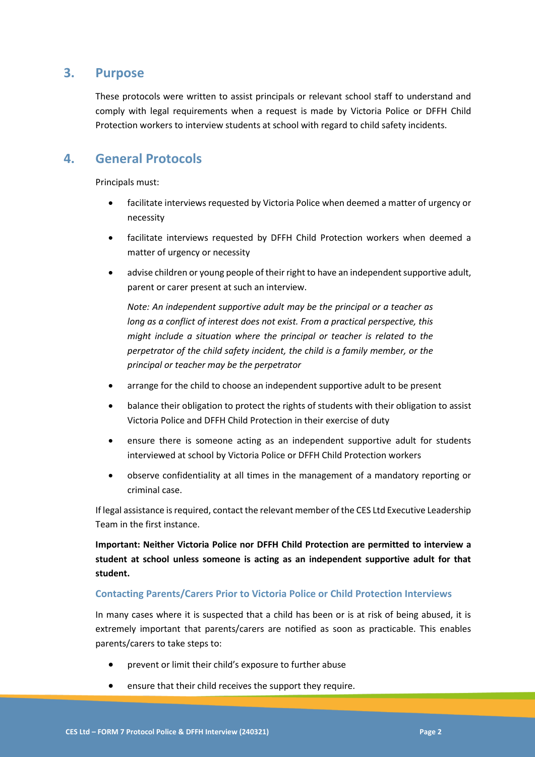### **3. Purpose**

These protocols were written to assist principals or relevant school staff to understand and comply with legal requirements when a request is made by Victoria Police or DFFH Child Protection workers to interview students at school with regard to child safety incidents.

### **4. General Protocols**

Principals must:

- facilitate interviews requested by Victoria Police when deemed a matter of urgency or necessity
- facilitate interviews requested by DFFH Child Protection workers when deemed a matter of urgency or necessity
- advise children or young people of their right to have an independent supportive adult, parent or carer present at such an interview.

*Note: An independent supportive adult may be the principal or a teacher as long as a conflict of interest does not exist. From a practical perspective, this might include a situation where the principal or teacher is related to the perpetrator of the child safety incident, the child is a family member, or the principal or teacher may be the perpetrator* 

- arrange for the child to choose an independent supportive adult to be present
- balance their obligation to protect the rights of students with their obligation to assist Victoria Police and DFFH Child Protection in their exercise of duty
- ensure there is someone acting as an independent supportive adult for students interviewed at school by Victoria Police or DFFH Child Protection workers
- observe confidentiality at all times in the management of a mandatory reporting or criminal case.

If legal assistance is required, contact the relevant member of the CES Ltd Executive Leadership Team in the first instance.

**Important: Neither Victoria Police nor DFFH Child Protection are permitted to interview a student at school unless someone is acting as an independent supportive adult for that student.** 

#### **Contacting Parents/Carers Prior to Victoria Police or Child Protection Interviews**

In many cases where it is suspected that a child has been or is at risk of being abused, it is extremely important that parents/carers are notified as soon as practicable. This enables parents/carers to take steps to:

- prevent or limit their child's exposure to further abuse
- ensure that their child receives the support they require.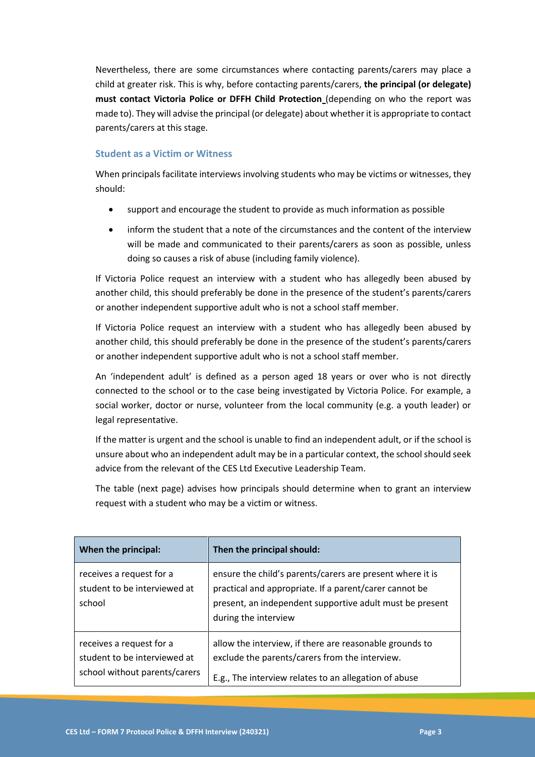Nevertheless, there are some circumstances where contacting parents/carers may place a child at greater risk. This is why, before contacting parents/carers, **the principal (or delegate) must contact Victoria Police or DFFH Child Protection** (depending on who the report was made to). They will advise the principal (or delegate) about whether it is appropriate to contact parents/carers at this stage.

#### **Student as a Victim or Witness**

When principals facilitate interviews involving students who may be victims or witnesses, they should:

- support and encourage the student to provide as much information as possible
- inform the student that a note of the circumstances and the content of the interview will be made and communicated to their parents/carers as soon as possible, unless doing so causes a risk of abuse (including family violence).

If Victoria Police request an interview with a student who has allegedly been abused by another child, this should preferably be done in the presence of the student's parents/carers or another independent supportive adult who is not a school staff member.

If Victoria Police request an interview with a student who has allegedly been abused by another child, this should preferably be done in the presence of the student's parents/carers or another independent supportive adult who is not a school staff member.

An 'independent adult' is defined as a person aged 18 years or over who is not directly connected to the school or to the case being investigated by Victoria Police. For example, a social worker, doctor or nurse, volunteer from the local community (e.g. a youth leader) or legal representative.

If the matter is urgent and the school is unable to find an independent adult, or if the school is unsure about who an independent adult may be in a particular context, the school should seek advice from the relevant of the CES Ltd Executive Leadership Team.

The table (next page) advises how principals should determine when to grant an interview request with a student who may be a victim or witness.

| When the principal:                                                                       | Then the principal should:                                                                                                                                                                              |
|-------------------------------------------------------------------------------------------|---------------------------------------------------------------------------------------------------------------------------------------------------------------------------------------------------------|
| receives a request for a<br>student to be interviewed at<br>school                        | ensure the child's parents/carers are present where it is<br>practical and appropriate. If a parent/carer cannot be<br>present, an independent supportive adult must be present<br>during the interview |
| receives a request for a<br>student to be interviewed at<br>school without parents/carers | allow the interview, if there are reasonable grounds to<br>exclude the parents/carers from the interview.<br>E.g., The interview relates to an allegation of abuse                                      |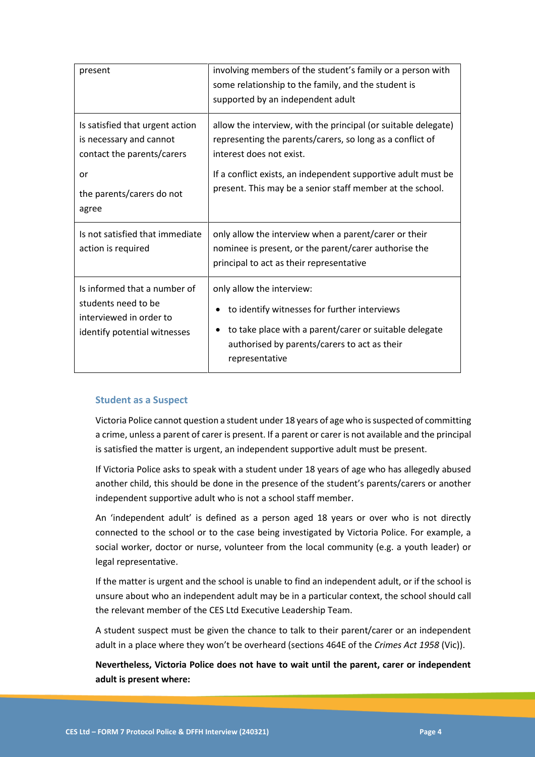| present                                                                                                        | involving members of the student's family or a person with<br>some relationship to the family, and the student is<br>supported by an independent adult                                                |
|----------------------------------------------------------------------------------------------------------------|-------------------------------------------------------------------------------------------------------------------------------------------------------------------------------------------------------|
| Is satisfied that urgent action<br>is necessary and cannot<br>contact the parents/carers                       | allow the interview, with the principal (or suitable delegate)<br>representing the parents/carers, so long as a conflict of<br>interest does not exist.                                               |
| or<br>the parents/carers do not<br>agree                                                                       | If a conflict exists, an independent supportive adult must be<br>present. This may be a senior staff member at the school.                                                                            |
| Is not satisfied that immediate<br>action is required                                                          | only allow the interview when a parent/carer or their<br>nominee is present, or the parent/carer authorise the<br>principal to act as their representative                                            |
| Is informed that a number of<br>students need to be<br>interviewed in order to<br>identify potential witnesses | only allow the interview:<br>to identify witnesses for further interviews<br>to take place with a parent/carer or suitable delegate<br>authorised by parents/carers to act as their<br>representative |

#### **Student as a Suspect**

Victoria Police cannot question a student under 18 years of age who is suspected of committing a crime, unless a parent of carer is present. If a parent or carer is not available and the principal is satisfied the matter is urgent, an independent supportive adult must be present.

If Victoria Police asks to speak with a student under 18 years of age who has allegedly abused another child, this should be done in the presence of the student's parents/carers or another independent supportive adult who is not a school staff member.

An 'independent adult' is defined as a person aged 18 years or over who is not directly connected to the school or to the case being investigated by Victoria Police. For example, a social worker, doctor or nurse, volunteer from the local community (e.g. a youth leader) or legal representative.

If the matter is urgent and the school is unable to find an independent adult, or if the school is unsure about who an independent adult may be in a particular context, the school should call the relevant member of the CES Ltd Executive Leadership Team.

A student suspect must be given the chance to talk to their parent/carer or an independent adult in a place where they won't be overheard (sections 464E of the *Crimes Act 1958* (Vic)).

**Nevertheless, Victoria Police does not have to wait until the parent, carer or independent adult is present where:**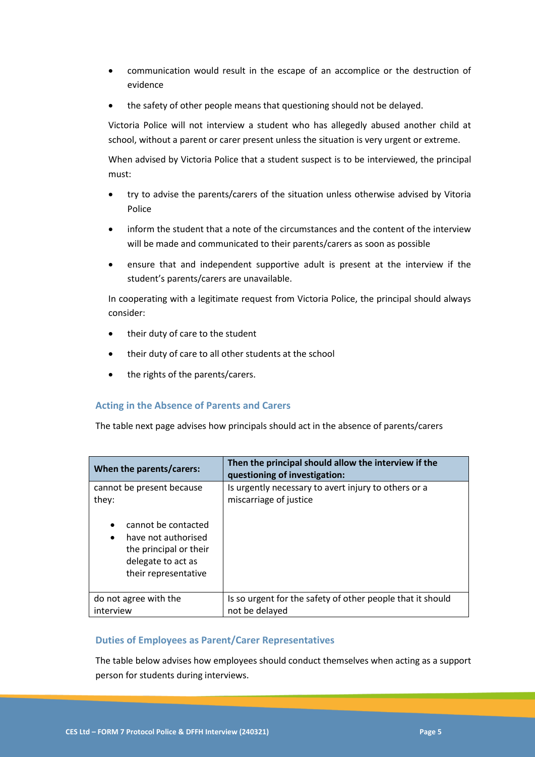- communication would result in the escape of an accomplice or the destruction of evidence
- the safety of other people means that questioning should not be delayed.

Victoria Police will not interview a student who has allegedly abused another child at school, without a parent or carer present unless the situation is very urgent or extreme.

When advised by Victoria Police that a student suspect is to be interviewed, the principal must:

- try to advise the parents/carers of the situation unless otherwise advised by Vitoria Police
- inform the student that a note of the circumstances and the content of the interview will be made and communicated to their parents/carers as soon as possible
- ensure that and independent supportive adult is present at the interview if the student's parents/carers are unavailable.

In cooperating with a legitimate request from Victoria Police, the principal should always consider:

- their duty of care to the student
- their duty of care to all other students at the school
- the rights of the parents/carers.

#### **Acting in the Absence of Parents and Carers**

The table next page advises how principals should act in the absence of parents/carers

| When the parents/carers:                                                                                                                                                           | Then the principal should allow the interview if the<br>questioning of investigation: |
|------------------------------------------------------------------------------------------------------------------------------------------------------------------------------------|---------------------------------------------------------------------------------------|
| cannot be present because<br>they:<br>cannot be contacted<br>$\bullet$<br>have not authorised<br>$\bullet$<br>the principal or their<br>delegate to act as<br>their representative | Is urgently necessary to avert injury to others or a<br>miscarriage of justice        |
| do not agree with the<br>interview                                                                                                                                                 | Is so urgent for the safety of other people that it should<br>not be delayed          |
|                                                                                                                                                                                    |                                                                                       |

#### **Duties of Employees as Parent/Carer Representatives**

The table below advises how employees should conduct themselves when acting as a support person for students during interviews.